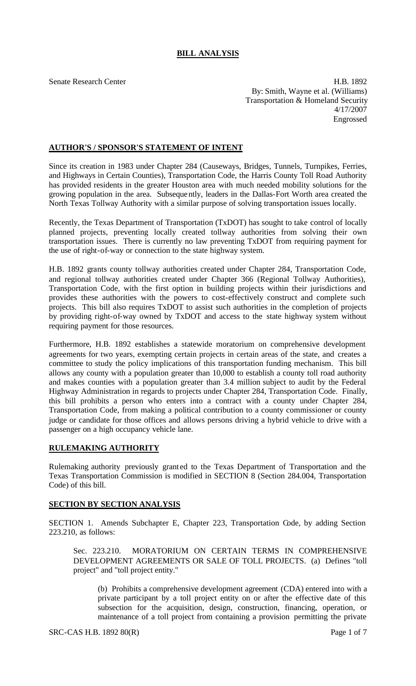# **BILL ANALYSIS**

Senate Research Center **H.B. 1892** By: Smith, Wayne et al. (Williams) Transportation & Homeland Security 4/17/2007 Engrossed

### **AUTHOR'S / SPONSOR'S STATEMENT OF INTENT**

Since its creation in 1983 under Chapter 284 (Causeways, Bridges, Tunnels, Turnpikes, Ferries, and Highways in Certain Counties), Transportation Code, the Harris County Toll Road Authority has provided residents in the greater Houston area with much needed mobility solutions for the growing population in the area. Subsequently, leaders in the Dallas-Fort Worth area created the North Texas Tollway Authority with a similar purpose of solving transportation issues locally.

Recently, the Texas Department of Transportation (TxDOT) has sought to take control of locally planned projects, preventing locally created tollway authorities from solving their own transportation issues. There is currently no law preventing TxDOT from requiring payment for the use of right-of-way or connection to the state highway system.

H.B. 1892 grants county tollway authorities created under Chapter 284, Transportation Code, and regional tollway authorities created under Chapter 366 (Regional Tollway Authorities), Transportation Code, with the first option in building projects within their jurisdictions and provides these authorities with the powers to cost-effectively construct and complete such projects. This bill also requires TxDOT to assist such authorities in the completion of projects by providing right-of-way owned by TxDOT and access to the state highway system without requiring payment for those resources.

Furthermore, H.B. 1892 establishes a statewide moratorium on comprehensive development agreements for two years, exempting certain projects in certain areas of the state, and creates a committee to study the policy implications of this transportation funding mechanism. This bill allows any county with a population greater than 10,000 to establish a county toll road authority and makes counties with a population greater than 3.4 million subject to audit by the Federal Highway Administration in regards to projects under Chapter 284, Transportation Code. Finally, this bill prohibits a person who enters into a contract with a county under Chapter 284, Transportation Code, from making a political contribution to a county commissioner or county judge or candidate for those offices and allows persons driving a hybrid vehicle to drive with a passenger on a high occupancy vehicle lane.

# **RULEMAKING AUTHORITY**

Rulemaking authority previously grant ed to the Texas Department of Transportation and the Texas Transportation Commission is modified in SECTION 8 (Section 284.004, Transportation Code) of this bill.

# **SECTION BY SECTION ANALYSIS**

SECTION 1. Amends Subchapter E, Chapter 223, Transportation Code, by adding Section 223.210, as follows:

Sec. 223.210. MORATORIUM ON CERTAIN TERMS IN COMPREHENSIVE DEVELOPMENT AGREEMENTS OR SALE OF TOLL PROJECTS. (a) Defines "toll project" and "toll project entity."

(b) Prohibits a comprehensive development agreement (CDA) entered into with a private participant by a toll project entity on or after the effective date of this subsection for the acquisition, design, construction, financing, operation, or maintenance of a toll project from containing a provision permitting the private

SRC-CAS H.B. 1892 80(R) Page 1 of 7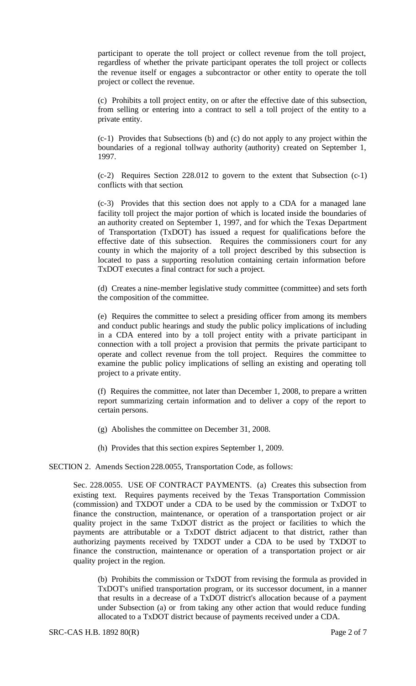participant to operate the toll project or collect revenue from the toll project, regardless of whether the private participant operates the toll project or collects the revenue itself or engages a subcontractor or other entity to operate the toll project or collect the revenue.

(c) Prohibits a toll project entity, on or after the effective date of this subsection, from selling or entering into a contract to sell a toll project of the entity to a private entity.

(c-1) Provides that Subsections (b) and (c) do not apply to any project within the boundaries of a regional tollway authority (authority) created on September 1, 1997.

(c-2) Requires Section 228.012 to govern to the extent that Subsection (c-1) conflicts with that section.

(c-3) Provides that this section does not apply to a CDA for a managed lane facility toll project the major portion of which is located inside the boundaries of an authority created on September 1, 1997, and for which the Texas Department of Transportation (TxDOT) has issued a request for qualifications before the effective date of this subsection. Requires the commissioners court for any county in which the majority of a toll project described by this subsection is located to pass a supporting resolution containing certain information before TxDOT executes a final contract for such a project.

(d) Creates a nine-member legislative study committee (committee) and sets forth the composition of the committee.

(e) Requires the committee to select a presiding officer from among its members and conduct public hearings and study the public policy implications of including in a CDA entered into by a toll project entity with a private participant in connection with a toll project a provision that permits the private participant to operate and collect revenue from the toll project. Requires the committee to examine the public policy implications of selling an existing and operating toll project to a private entity.

(f) Requires the committee, not later than December 1, 2008, to prepare a written report summarizing certain information and to deliver a copy of the report to certain persons.

- (g) Abolishes the committee on December 31, 2008.
- (h) Provides that this section expires September 1, 2009.

#### SECTION 2. Amends Section 228.0055, Transportation Code, as follows:

Sec. 228.0055. USE OF CONTRACT PAYMENTS. (a) Creates this subsection from existing text. Requires payments received by the Texas Transportation Commission (commission) and TXDOT under a CDA to be used by the commission or TxDOT to finance the construction, maintenance, or operation of a transportation project or air quality project in the same TxDOT district as the project or facilities to which the payments are attributable or a TxDOT district adjacent to that district, rather than authorizing payments received by TXDOT under a CDA to be used by TXDOT to finance the construction, maintenance or operation of a transportation project or air quality project in the region.

(b) Prohibits the commission or TxDOT from revising the formula as provided in TxDOT's unified transportation program, or its successor document, in a manner that results in a decrease of a TxDOT district's allocation because of a payment under Subsection (a) or from taking any other action that would reduce funding allocated to a TxDOT district because of payments received under a CDA.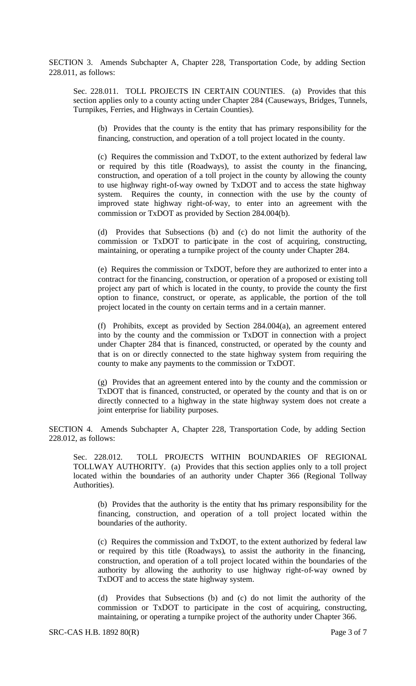SECTION 3. Amends Subchapter A, Chapter 228, Transportation Code, by adding Section 228.011, as follows:

Sec. 228.011. TOLL PROJECTS IN CERTAIN COUNTIES. (a) Provides that this section applies only to a county acting under Chapter 284 (Causeways, Bridges, Tunnels, Turnpikes, Ferries, and Highways in Certain Counties).

(b) Provides that the county is the entity that has primary responsibility for the financing, construction, and operation of a toll project located in the county.

(c) Requires the commission and TxDOT, to the extent authorized by federal law or required by this title (Roadways), to assist the county in the financing, construction, and operation of a toll project in the county by allowing the county to use highway right-of-way owned by TxDOT and to access the state highway system. Requires the county, in connection with the use by the county of improved state highway right-of-way, to enter into an agreement with the commission or TxDOT as provided by Section 284.004(b).

(d) Provides that Subsections (b) and (c) do not limit the authority of the commission or TxDOT to participate in the cost of acquiring, constructing, maintaining, or operating a turnpike project of the county under Chapter 284.

(e) Requires the commission or TxDOT, before they are authorized to enter into a contract for the financing, construction, or operation of a proposed or existing toll project any part of which is located in the county, to provide the county the first option to finance, construct, or operate, as applicable, the portion of the toll project located in the county on certain terms and in a certain manner.

(f) Prohibits, except as provided by Section 284.004(a), an agreement entered into by the county and the commission or TxDOT in connection with a project under Chapter 284 that is financed, constructed, or operated by the county and that is on or directly connected to the state highway system from requiring the county to make any payments to the commission or TxDOT.

(g) Provides that an agreement entered into by the county and the commission or TxDOT that is financed, constructed, or operated by the county and that is on or directly connected to a highway in the state highway system does not create a joint enterprise for liability purposes.

SECTION 4. Amends Subchapter A, Chapter 228, Transportation Code, by adding Section 228.012, as follows:

Sec. 228.012. TOLL PROJECTS WITHIN BOUNDARIES OF REGIONAL TOLLWAY AUTHORITY. (a) Provides that this section applies only to a toll project located within the boundaries of an authority under Chapter 366 (Regional Tollway Authorities).

(b) Provides that the authority is the entity that has primary responsibility for the financing, construction, and operation of a toll project located within the boundaries of the authority.

(c) Requires the commission and TxDOT, to the extent authorized by federal law or required by this title (Roadways), to assist the authority in the financing, construction, and operation of a toll project located within the boundaries of the authority by allowing the authority to use highway right-of-way owned by TxDOT and to access the state highway system.

(d) Provides that Subsections (b) and (c) do not limit the authority of the commission or TxDOT to participate in the cost of acquiring, constructing, maintaining, or operating a turnpike project of the authority under Chapter 366.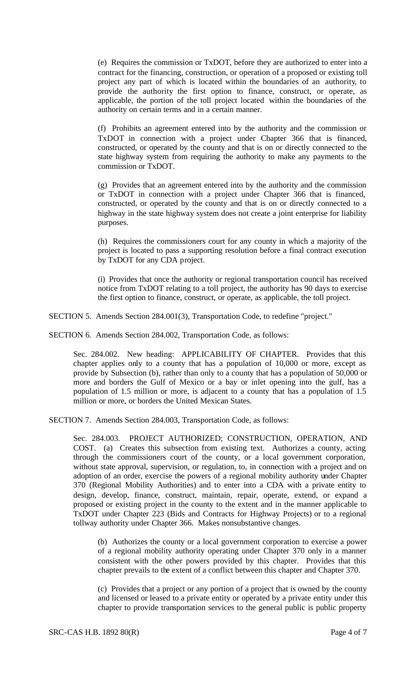(e) Requires the commission or TxDOT, before they are authorized to enter into a contract for the financing, construction, or operation of a proposed or existing toll project any part of which is located within the boundaries of an authority, to provide the authority the first option to finance, construct, or operate, as applicable, the portion of the toll project located within the boundaries of the authority on certain terms and in a certain manner.

(f) Prohibits an agreement entered into by the authority and the commission or TxDOT in connection with a project under Chapter 366 that is financed, constructed, or operated by the county and that is on or directly connected to the state highway system from requiring the authority to make any payments to the commission or TxDOT.

(g) Provides that an agreement entered into by the authority and the commission or TxDOT in connection with a project under Chapter 366 that is financed, constructed, or operated by the county and that is on or directly connected to a highway in the state highway system does not create a joint enterprise for liability purposes.

(h) Requires the commissioners court for any county in which a majority of the project is located to pass a supporting resolution before a final contract execution by TxDOT for any CDA project.

(i) Provides that once the authority or regional transportation council has received notice from TxDOT relating to a toll project, the authority has 90 days to exercise the first option to finance, construct, or operate, as applicable, the toll project.

SECTION 5. Amends Section 284.001(3), Transportation Code, to redefine "project."

SECTION 6. Amends Section 284.002, Transportation Code, as follows:

Sec. 284.002. New heading: APPLICABILITY OF CHAPTER. Provides that this chapter applies only to a county that has a population of 10,000 or more, except as provide by Subsection (b), rather than only to a county that has a population of 50,000 or more and borders the Gulf of Mexico or a bay or inlet opening into the gulf, has a population of 1.5 million or more, is adjacent to a county that has a population of 1.5 million or more, or borders the United Mexican States.

SECTION 7. Amends Section 284.003, Transportation Code, as follows:

Sec. 284.003. PROJECT AUTHORIZED; CONSTRUCTION, OPERATION, AND COST. (a) Creates this subsection from existing text. Authorizes a county, acting through the commissioners court of the county, or a local government corporation, without state approval, supervision, or regulation, to, in connection with a project and on adoption of an order, exercise the powers of a regional mobility authority under Chapter 370 (Regional Mobility Authorities) and to enter into a CDA with a private entity to design, develop, finance, construct, maintain, repair, operate, extend, or expand a proposed or existing project in the county to the extent and in the manner applicable to TxDOT under Chapter 223 (Bids and Contracts for Highway Projects) or to a regional tollway authority under Chapter 366. Makes nonsubstantive changes.

(b) Authorizes the county or a local government corporation to exercise a power of a regional mobility authority operating under Chapter 370 only in a manner consistent with the other powers provided by this chapter. Provides that this chapter prevails to the extent of a conflict between this chapter and Chapter 370.

(c) Provides that a project or any portion of a project that is owned by the county and licensed or leased to a private entity or operated by a private entity under this chapter to provide transportation services to the general public is public property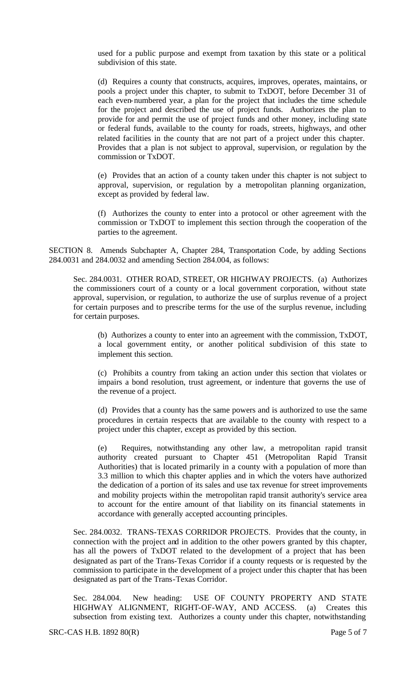used for a public purpose and exempt from taxation by this state or a political subdivision of this state.

(d) Requires a county that constructs, acquires, improves, operates, maintains, or pools a project under this chapter, to submit to TxDOT, before December 31 of each even-numbered year, a plan for the project that includes the time schedule for the project and described the use of project funds. Authorizes the plan to provide for and permit the use of project funds and other money, including state or federal funds, available to the county for roads, streets, highways, and other related facilities in the county that are not part of a project under this chapter. Provides that a plan is not subject to approval, supervision, or regulation by the commission or TxDOT.

(e) Provides that an action of a county taken under this chapter is not subject to approval, supervision, or regulation by a metropolitan planning organization, except as provided by federal law.

(f) Authorizes the county to enter into a protocol or other agreement with the commission or TxDOT to implement this section through the cooperation of the parties to the agreement.

SECTION 8. Amends Subchapter A, Chapter 284, Transportation Code, by adding Sections 284.0031 and 284.0032 and amending Section 284.004, as follows:

Sec. 284.0031. OTHER ROAD, STREET, OR HIGHWAY PROJECTS. (a) Authorizes the commissioners court of a county or a local government corporation, without state approval, supervision, or regulation, to authorize the use of surplus revenue of a project for certain purposes and to prescribe terms for the use of the surplus revenue, including for certain purposes.

(b) Authorizes a county to enter into an agreement with the commission, TxDOT, a local government entity, or another political subdivision of this state to implement this section.

(c) Prohibits a country from taking an action under this section that violates or impairs a bond resolution, trust agreement, or indenture that governs the use of the revenue of a project.

(d) Provides that a county has the same powers and is authorized to use the same procedures in certain respects that are available to the county with respect to a project under this chapter, except as provided by this section.

(e) Requires, notwithstanding any other law, a metropolitan rapid transit authority created pursuant to Chapter 451 (Metropolitan Rapid Transit Authorities) that is located primarily in a county with a population of more than 3.3 million to which this chapter applies and in which the voters have authorized the dedication of a portion of its sales and use tax revenue for street improvements and mobility projects within the metropolitan rapid transit authority's service area to account for the entire amount of that liability on its financial statements in accordance with generally accepted accounting principles.

Sec. 284.0032. TRANS-TEXAS CORRIDOR PROJECTS. Provides that the county, in connection with the project and in addition to the other powers granted by this chapter, has all the powers of TxDOT related to the development of a project that has been designated as part of the Trans-Texas Corridor if a county requests or is requested by the commission to participate in the development of a project under this chapter that has been designated as part of the Trans-Texas Corridor.

Sec. 284.004. New heading: USE OF COUNTY PROPERTY AND STATE HIGHWAY ALIGNMENT, RIGHT-OF-WAY, AND ACCESS. (a) Creates this subsection from existing text. Authorizes a county under this chapter, notwithstanding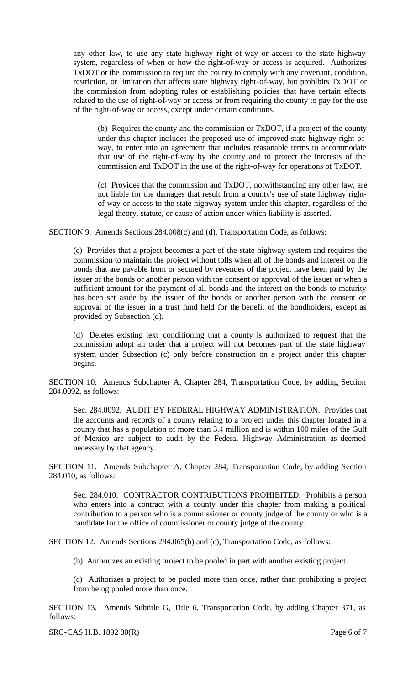any other law, to use any state highway right-of-way or access to the state highway system, regardless of when or how the right-of-way or access is acquired. Authorizes TxDOT or the commission to require the county to comply with any covenant, condition, restriction, or limitation that affects state highway right-of-way, but prohibits TxDOT or the commission from adopting rules or establishing policies that have certain effects related to the use of right-of-way or access or from requiring the county to pay for the use of the right-of-way or access, except under certain conditions.

(b) Requires the county and the commission or TxDOT, if a project of the county under this chapter inc ludes the proposed use of improved state highway right-ofway, to enter into an agreement that includes reasonable terms to accommodate that use of the right-of-way by the county and to protect the interests of the commission and TxDOT in the use of the right-of-way for operations of TxDOT.

(c) Provides that the commission and TxDOT, notwithstanding any other law, are not liable for the damages that result from a county's use of state highway rightof-way or access to the state highway system under this chapter, regardless of the legal theory, statute, or cause of action under which liability is asserted.

SECTION 9. Amends Sections 284.008(c) and (d), Transportation Code, as follows:

(c) Provides that a project becomes a part of the state highway system and requires the commission to maintain the project without tolls when all of the bonds and interest on the bonds that are payable from or secured by revenues of the project have been paid by the issuer of the bonds or another person with the consent or approval of the issuer or when a sufficient amount for the payment of all bonds and the interest on the bonds to maturity has been set aside by the issuer of the bonds or another person with the consent or approval of the issuer in a trust fund held for the benefit of the bondholders, except as provided by Subsection (d).

(d) Deletes existing text conditioning that a county is authorized to request that the commission adopt an order that a project will not becomes part of the state highway system under Subsection (c) only before construction on a project under this chapter begins.

SECTION 10. Amends Subchapter A, Chapter 284, Transportation Code, by adding Section 284.0092, as follows:

Sec. 284.0092. AUDIT BY FEDERAL HIGHWAY ADMINISTRATION. Provides that the accounts and records of a county relating to a project under this chapter located in a county that has a population of more than 3.4 million and is within 100 miles of the Gulf of Mexico are subject to audit by the Federal Highway Administration as deemed necessary by that agency.

SECTION 11. Amends Subchapter A, Chapter 284, Transportation Code, by adding Section 284.010, as follows:

Sec. 284.010. CONTRACTOR CONTRIBUTIONS PROHIBITED. Prohibits a person who enters into a contract with a county under this chapter from making a political contribution to a person who is a commissioner or county judge of the county or who is a candidate for the office of commissioner or county judge of the county.

SECTION 12. Amends Sections 284.065(b) and (c), Transportation Code, as follows:

(b) Authorizes an existing project to be pooled in part with another existing project.

(c) Authorizes a project to be pooled more than once, rather than prohibiting a project from being pooled more than once.

SECTION 13. Amends Subtitle G, Title 6, Transportation Code, by adding Chapter 371, as follows: